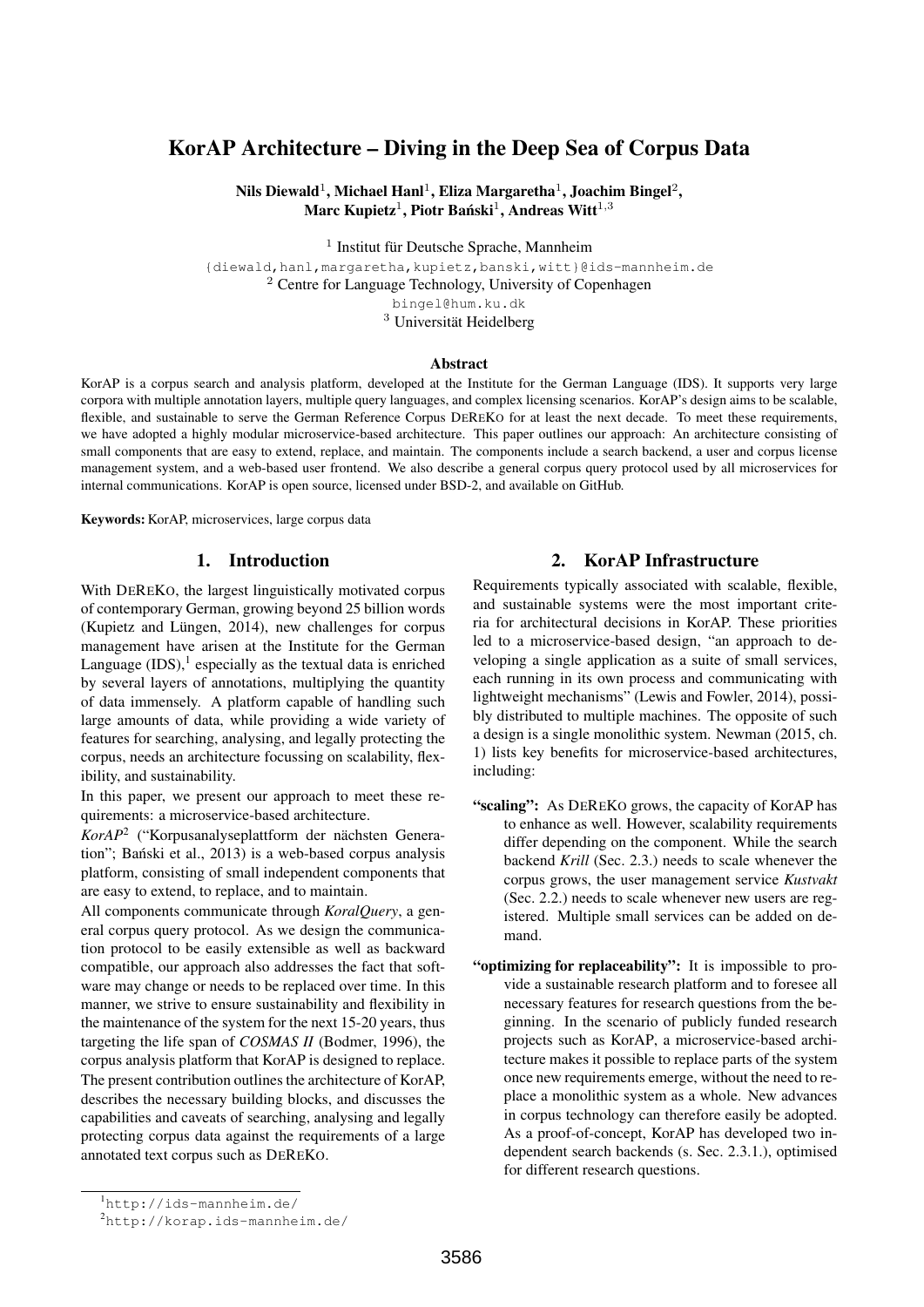# KorAP Architecture – Diving in the Deep Sea of Corpus Data

Nils Diewald $^1$ , Michael Hanl $^1$ , Eliza Margaretha $^1$ , Joachim Bingel $^2,$ Marc Kupietz<sup>1</sup>, Piotr Bański<sup>1</sup>, Andreas Witt<sup>1,3</sup>

<sup>1</sup> Institut für Deutsche Sprache, Mannheim

{diewald,hanl,margaretha,kupietz,banski,witt}@ids-mannheim.de <sup>2</sup> Centre for Language Technology, University of Copenhagen bingel@hum.ku.dk

<sup>3</sup> Universität Heidelberg

#### Abstract

KorAP is a corpus search and analysis platform, developed at the Institute for the German Language (IDS). It supports very large corpora with multiple annotation layers, multiple query languages, and complex licensing scenarios. KorAP's design aims to be scalable, flexible, and sustainable to serve the German Reference Corpus DEREKO for at least the next decade. To meet these requirements, we have adopted a highly modular microservice-based architecture. This paper outlines our approach: An architecture consisting of small components that are easy to extend, replace, and maintain. The components include a search backend, a user and corpus license management system, and a web-based user frontend. We also describe a general corpus query protocol used by all microservices for internal communications. KorAP is open source, licensed under BSD-2, and available on GitHub.

Keywords: KorAP, microservices, large corpus data

### 1. Introduction

With DEREKO, the largest linguistically motivated corpus of contemporary German, growing beyond 25 billion words (Kupietz and Lüngen, 2014), new challenges for corpus management have arisen at the Institute for the German Language  $(IDS<sup>1</sup>$  especially as the textual data is enriched by several layers of annotations, multiplying the quantity of data immensely. A platform capable of handling such large amounts of data, while providing a wide variety of features for searching, analysing, and legally protecting the corpus, needs an architecture focussing on scalability, flexibility, and sustainability.

In this paper, we present our approach to meet these requirements: a microservice-based architecture.

*KorAP*<sup>2</sup> ("Korpusanalyseplattform der nächsten Generation"; Bański et al., 2013) is a web-based corpus analysis platform, consisting of small independent components that are easy to extend, to replace, and to maintain.

All components communicate through *KoralQuery*, a general corpus query protocol. As we design the communication protocol to be easily extensible as well as backward compatible, our approach also addresses the fact that software may change or needs to be replaced over time. In this manner, we strive to ensure sustainability and flexibility in the maintenance of the system for the next 15-20 years, thus targeting the life span of *COSMAS II* (Bodmer, 1996), the corpus analysis platform that KorAP is designed to replace. The present contribution outlines the architecture of KorAP, describes the necessary building blocks, and discusses the capabilities and caveats of searching, analysing and legally protecting corpus data against the requirements of a large annotated text corpus such as DEREKO.

## 2. KorAP Infrastructure

Requirements typically associated with scalable, flexible, and sustainable systems were the most important criteria for architectural decisions in KorAP. These priorities led to a microservice-based design, "an approach to developing a single application as a suite of small services, each running in its own process and communicating with lightweight mechanisms" (Lewis and Fowler, 2014), possibly distributed to multiple machines. The opposite of such a design is a single monolithic system. Newman (2015, ch. 1) lists key benefits for microservice-based architectures, including:

- "scaling": As DEREKO grows, the capacity of KorAP has to enhance as well. However, scalability requirements differ depending on the component. While the search backend *Krill* (Sec. 2.3.) needs to scale whenever the corpus grows, the user management service *Kustvakt* (Sec. 2.2.) needs to scale whenever new users are registered. Multiple small services can be added on demand.
- "optimizing for replaceability": It is impossible to provide a sustainable research platform and to foresee all necessary features for research questions from the beginning. In the scenario of publicly funded research projects such as KorAP, a microservice-based architecture makes it possible to replace parts of the system once new requirements emerge, without the need to replace a monolithic system as a whole. New advances in corpus technology can therefore easily be adopted. As a proof-of-concept, KorAP has developed two independent search backends (s. Sec. 2.3.1.), optimised for different research questions.

<sup>1</sup>http://ids-mannheim.de/

<sup>2</sup>http://korap.ids-mannheim.de/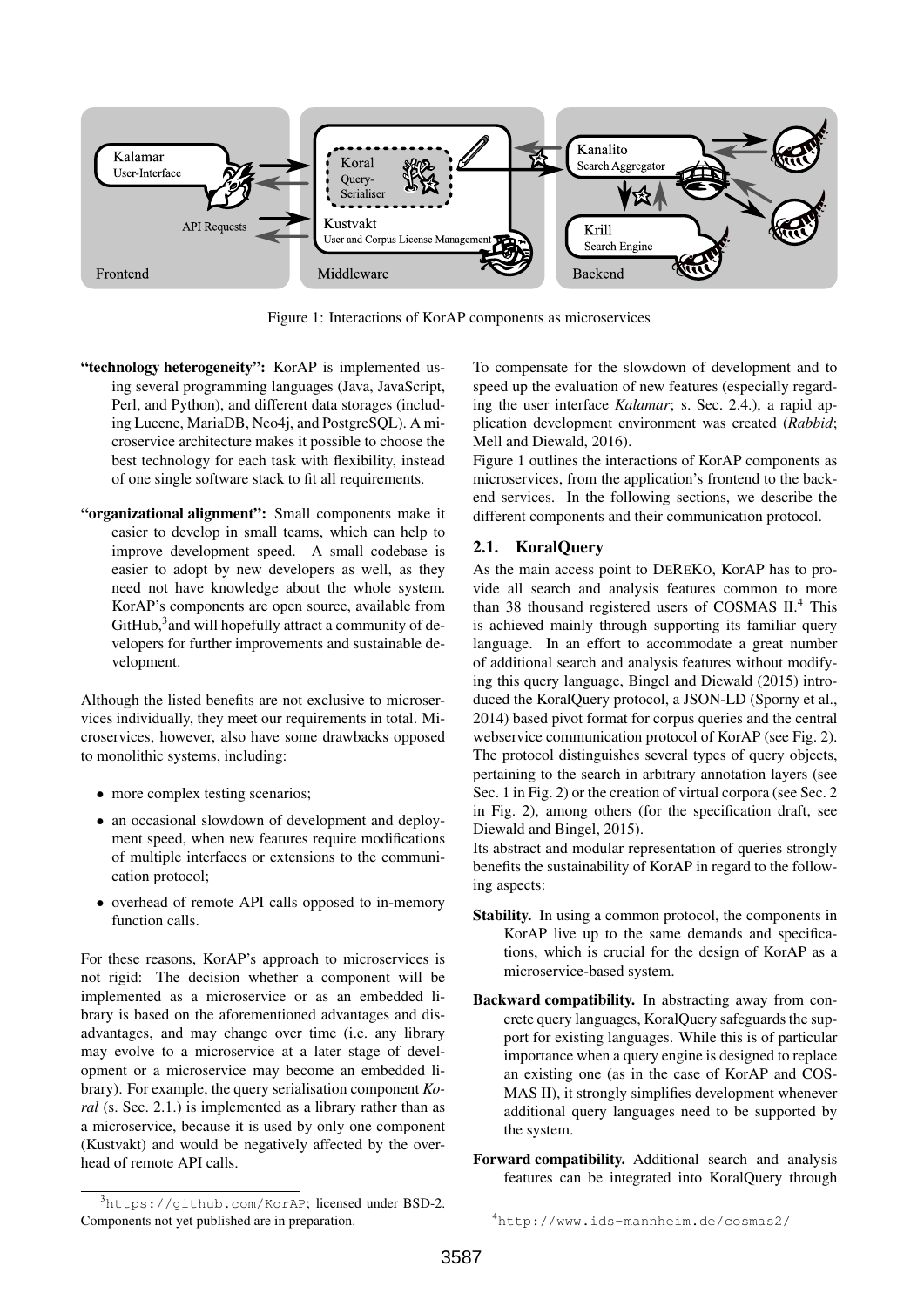

Figure 1: Interactions of KorAP components as microservices

- "technology heterogeneity": KorAP is implemented using several programming languages (Java, JavaScript, Perl, and Python), and different data storages (including Lucene, MariaDB, Neo4j, and PostgreSQL). A microservice architecture makes it possible to choose the best technology for each task with flexibility, instead of one single software stack to fit all requirements.
- "organizational alignment": Small components make it easier to develop in small teams, which can help to improve development speed. A small codebase is easier to adopt by new developers as well, as they need not have knowledge about the whole system. KorAP's components are open source, available from GitHub,<sup>3</sup> and will hopefully attract a community of developers for further improvements and sustainable development.

Although the listed benefits are not exclusive to microservices individually, they meet our requirements in total. Microservices, however, also have some drawbacks opposed to monolithic systems, including:

- more complex testing scenarios;
- an occasional slowdown of development and deployment speed, when new features require modifications of multiple interfaces or extensions to the communication protocol;
- overhead of remote API calls opposed to in-memory function calls.

For these reasons, KorAP's approach to microservices is not rigid: The decision whether a component will be implemented as a microservice or as an embedded library is based on the aforementioned advantages and disadvantages, and may change over time (i.e. any library may evolve to a microservice at a later stage of development or a microservice may become an embedded library). For example, the query serialisation component *Koral* (s. Sec. 2.1.) is implemented as a library rather than as a microservice, because it is used by only one component (Kustvakt) and would be negatively affected by the overhead of remote API calls.

To compensate for the slowdown of development and to speed up the evaluation of new features (especially regarding the user interface *Kalamar*; s. Sec. 2.4.), a rapid application development environment was created (*Rabbid*; Mell and Diewald, 2016).

Figure 1 outlines the interactions of KorAP components as microservices, from the application's frontend to the backend services. In the following sections, we describe the different components and their communication protocol.

# 2.1. KoralQuery

As the main access point to DEREKO, KorAP has to provide all search and analysis features common to more than 38 thousand registered users of COSMAS II.<sup>4</sup> This is achieved mainly through supporting its familiar query language. In an effort to accommodate a great number of additional search and analysis features without modifying this query language, Bingel and Diewald (2015) introduced the KoralQuery protocol, a JSON-LD (Sporny et al., 2014) based pivot format for corpus queries and the central webservice communication protocol of KorAP (see Fig. 2). The protocol distinguishes several types of query objects, pertaining to the search in arbitrary annotation layers (see Sec. 1 in Fig. 2) or the creation of virtual corpora (see Sec. 2 in Fig. 2), among others (for the specification draft, see Diewald and Bingel, 2015).

Its abstract and modular representation of queries strongly benefits the sustainability of KorAP in regard to the following aspects:

- Stability. In using a common protocol, the components in KorAP live up to the same demands and specifications, which is crucial for the design of KorAP as a microservice-based system.
- Backward compatibility. In abstracting away from concrete query languages, KoralQuery safeguards the support for existing languages. While this is of particular importance when a query engine is designed to replace an existing one (as in the case of KorAP and COS-MAS II), it strongly simplifies development whenever additional query languages need to be supported by the system.
- Forward compatibility. Additional search and analysis features can be integrated into KoralQuery through

<sup>3</sup>https://github.com/KorAP; licensed under BSD-2. Components not yet published are in preparation.

<sup>4</sup>http://www.ids-mannheim.de/cosmas2/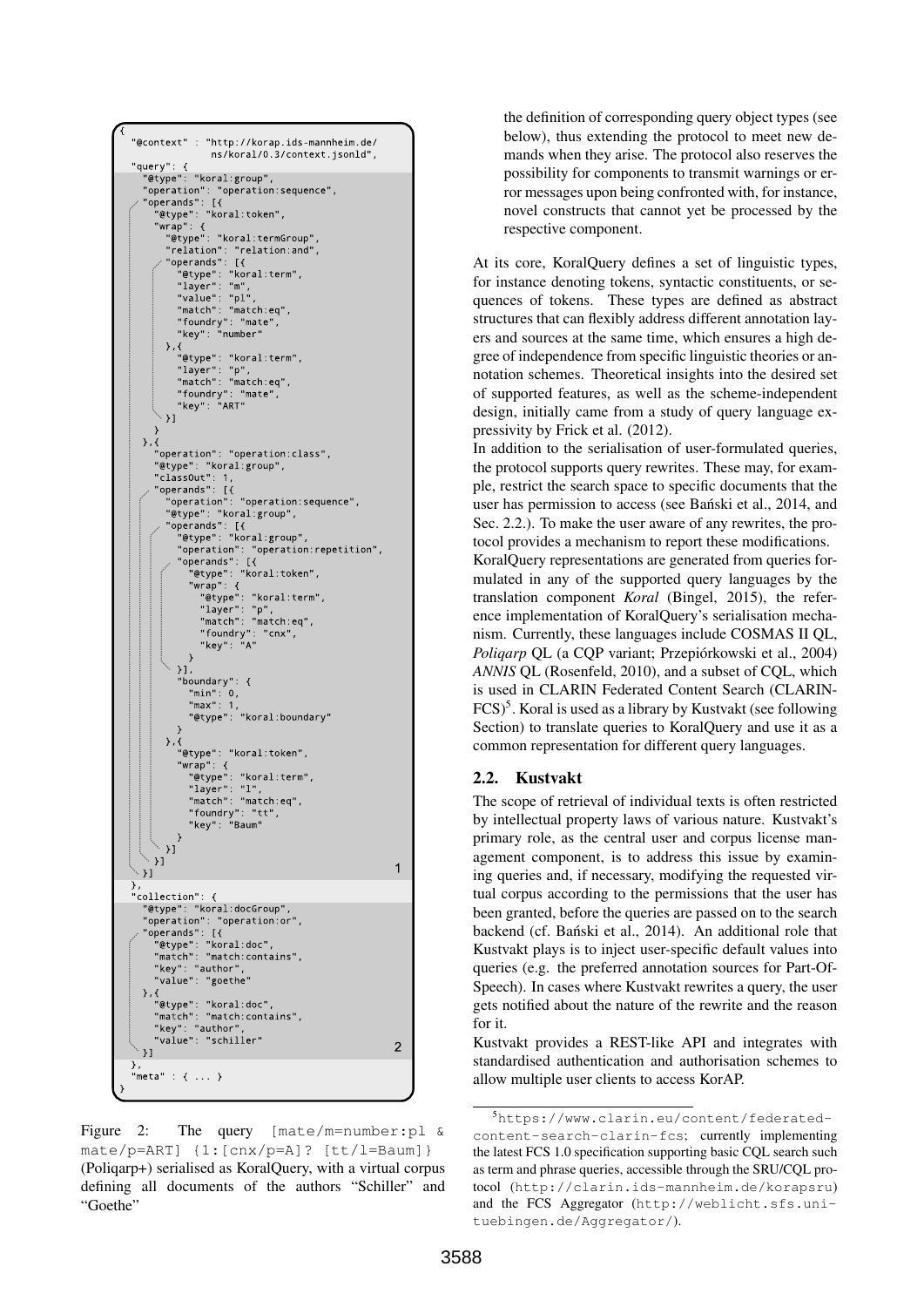

Figure 2: The query [mate/m=number:pl & mate/p=ART] {1:[cnx/p=A]? [tt/l=Baum]} (Poliqarp+) serialised as KoralQuery, with a virtual corpus defining all documents of the authors "Schiller" and "Goethe"

the definition of corresponding query object types (see below), thus extending the protocol to meet new demands when they arise. The protocol also reserves the possibility for components to transmit warnings or error messages upon being confronted with, for instance, novel constructs that cannot yet be processed by the respective component.

At its core, KoralQuery defines a set of linguistic types, for instance denoting tokens, syntactic constituents, or sequences of tokens. These types are defined as abstract structures that can flexibly address different annotation layers and sources at the same time, which ensures a high degree of independence from specific linguistic theories or annotation schemes. Theoretical insights into the desired set of supported features, as well as the scheme-independent design, initially came from a study of query language expressivity by Frick et al. (2012).

In addition to the serialisation of user-formulated queries, the protocol supports query rewrites. These may, for example, restrict the search space to specific documents that the user has permission to access (see Banski et al., 2014, and Sec. 2.2.). To make the user aware of any rewrites, the protocol provides a mechanism to report these modifications.

KoralQuery representations are generated from queries formulated in any of the supported query languages by the translation component *Koral* (Bingel, 2015), the reference implementation of KoralQuery's serialisation mechanism. Currently, these languages include COSMAS II QL, *Poliqarp* QL (a CQP variant; Przepiórkowski et al., 2004) *ANNIS* QL (Rosenfeld, 2010), and a subset of CQL, which is used in CLARIN Federated Content Search (CLARIN-FCS)<sup>5</sup>. Koral is used as a library by Kustvakt (see following Section) to translate queries to KoralQuery and use it as a common representation for different query languages.

# 2.2. Kustvakt

The scope of retrieval of individual texts is often restricted by intellectual property laws of various nature. Kustvakt's primary role, as the central user and corpus license management component, is to address this issue by examining queries and, if necessary, modifying the requested virtual corpus according to the permissions that the user has been granted, before the queries are passed on to the search backend (cf. Bański et al., 2014). An additional role that Kustvakt plays is to inject user-specific default values into queries (e.g. the preferred annotation sources for Part-Of-Speech). In cases where Kustvakt rewrites a query, the user gets notified about the nature of the rewrite and the reason for it.

Kustvakt provides a REST-like API and integrates with standardised authentication and authorisation schemes to allow multiple user clients to access KorAP.

<sup>5</sup>https://www.clarin.eu/content/federatedcontent-search-clarin-fcs; currently implementing the latest FCS 1.0 specification supporting basic CQL search such as term and phrase queries, accessible through the SRU/CQL protocol (http://clarin.ids-mannheim.de/korapsru) and the FCS Aggregator (http://weblicht.sfs.unituebingen.de/Aggregator/).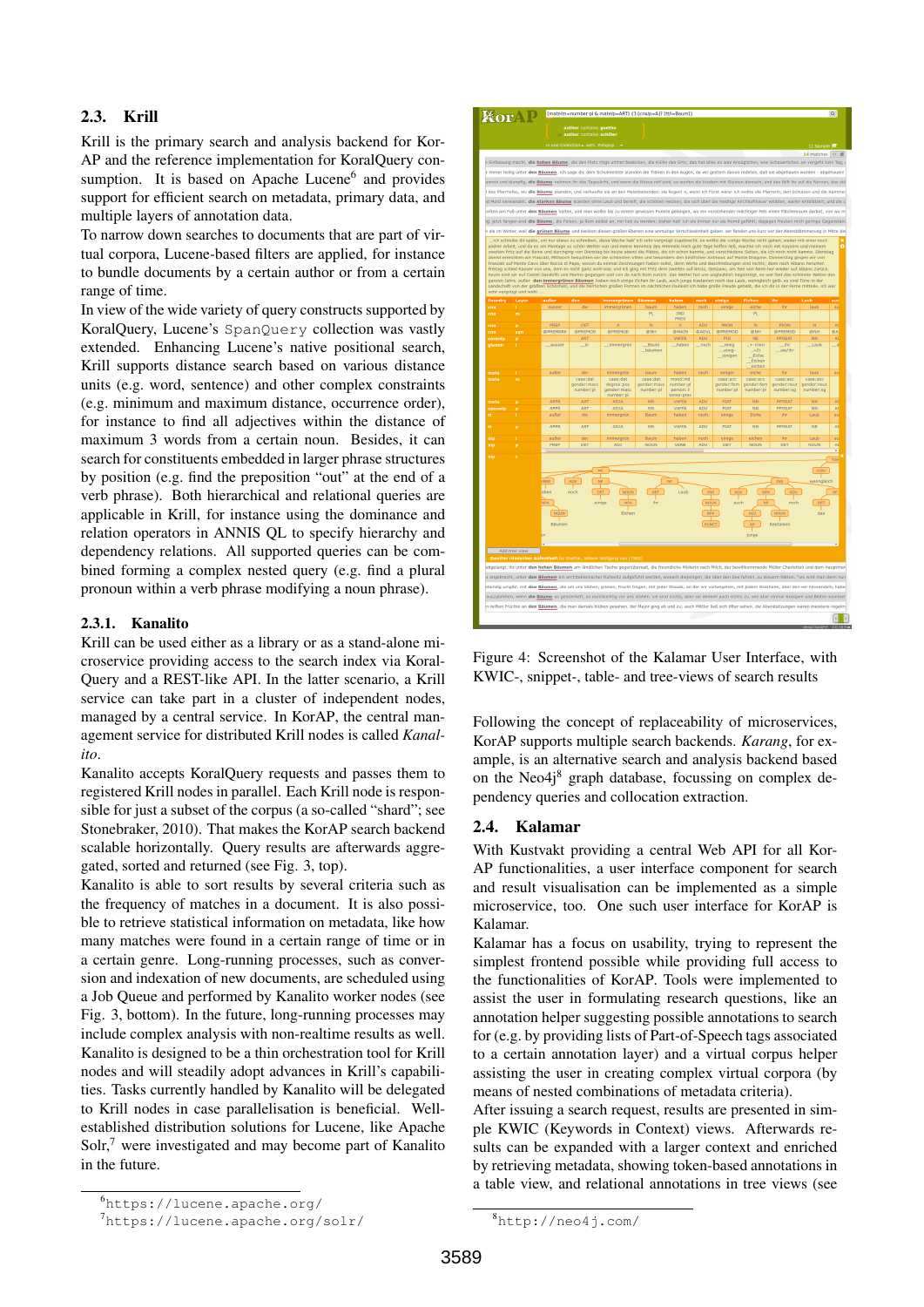## 2.3. Krill

Krill is the primary search and analysis backend for Kor-AP and the reference implementation for KoralQuery consumption. It is based on Apache Lucene<sup>6</sup> and provides support for efficient search on metadata, primary data, and multiple layers of annotation data.

To narrow down searches to documents that are part of virtual corpora, Lucene-based filters are applied, for instance to bundle documents by a certain author or from a certain range of time.

In view of the wide variety of query constructs supported by KoralQuery, Lucene's SpanQuery collection was vastly extended. Enhancing Lucene's native positional search, Krill supports distance search based on various distance units (e.g. word, sentence) and other complex constraints (e.g. minimum and maximum distance, occurrence order), for instance to find all adjectives within the distance of maximum 3 words from a certain noun. Besides, it can search for constituents embedded in larger phrase structures by position (e.g. find the preposition "out" at the end of a verb phrase). Both hierarchical and relational queries are applicable in Krill, for instance using the dominance and relation operators in ANNIS QL to specify hierarchy and dependency relations. All supported queries can be combined forming a complex nested query (e.g. find a plural pronoun within a verb phrase modifying a noun phrase).

#### 2.3.1. Kanalito

Krill can be used either as a library or as a stand-alone microservice providing access to the search index via Koral-Query and a REST-like API. In the latter scenario, a Krill service can take part in a cluster of independent nodes, managed by a central service. In KorAP, the central management service for distributed Krill nodes is called *Kanalito*.

Kanalito accepts KoralQuery requests and passes them to registered Krill nodes in parallel. Each Krill node is responsible for just a subset of the corpus (a so-called "shard"; see Stonebraker, 2010). That makes the KorAP search backend scalable horizontally. Query results are afterwards aggregated, sorted and returned (see Fig. 3, top).

Kanalito is able to sort results by several criteria such as the frequency of matches in a document. It is also possible to retrieve statistical information on metadata, like how many matches were found in a certain range of time or in a certain genre. Long-running processes, such as conversion and indexation of new documents, are scheduled using a Job Queue and performed by Kanalito worker nodes (see Fig. 3, bottom). In the future, long-running processes may include complex analysis with non-realtime results as well. Kanalito is designed to be a thin orchestration tool for Krill nodes and will steadily adopt advances in Krill's capabilities. Tasks currently handled by Kanalito will be delegated to Krill nodes in case parallelisation is beneficial. Wellestablished distribution solutions for Lucene, like Apache Solr,<sup>7</sup> were investigated and may become part of Kanalito in the future.



Figure 4: Screenshot of the Kalamar User Interface, with KWIC-, snippet-, table- and tree-views of search results

Following the concept of replaceability of microservices, KorAP supports multiple search backends. *Karang*, for example, is an alternative search and analysis backend based on the Neo $4i<sup>8</sup>$  graph database, focussing on complex dependency queries and collocation extraction.

#### 2.4. Kalamar

With Kustvakt providing a central Web API for all Kor-AP functionalities, a user interface component for search and result visualisation can be implemented as a simple microservice, too. One such user interface for KorAP is Kalamar.

Kalamar has a focus on usability, trying to represent the simplest frontend possible while providing full access to the functionalities of KorAP. Tools were implemented to assist the user in formulating research questions, like an annotation helper suggesting possible annotations to search for (e.g. by providing lists of Part-of-Speech tags associated to a certain annotation layer) and a virtual corpus helper assisting the user in creating complex virtual corpora (by means of nested combinations of metadata criteria).

After issuing a search request, results are presented in simple KWIC (Keywords in Context) views. Afterwards results can be expanded with a larger context and enriched by retrieving metadata, showing token-based annotations in a table view, and relational annotations in tree views (see

<sup>6</sup>https://lucene.apache.org/

<sup>7</sup>https://lucene.apache.org/solr/

<sup>8</sup>http://neo4j.com/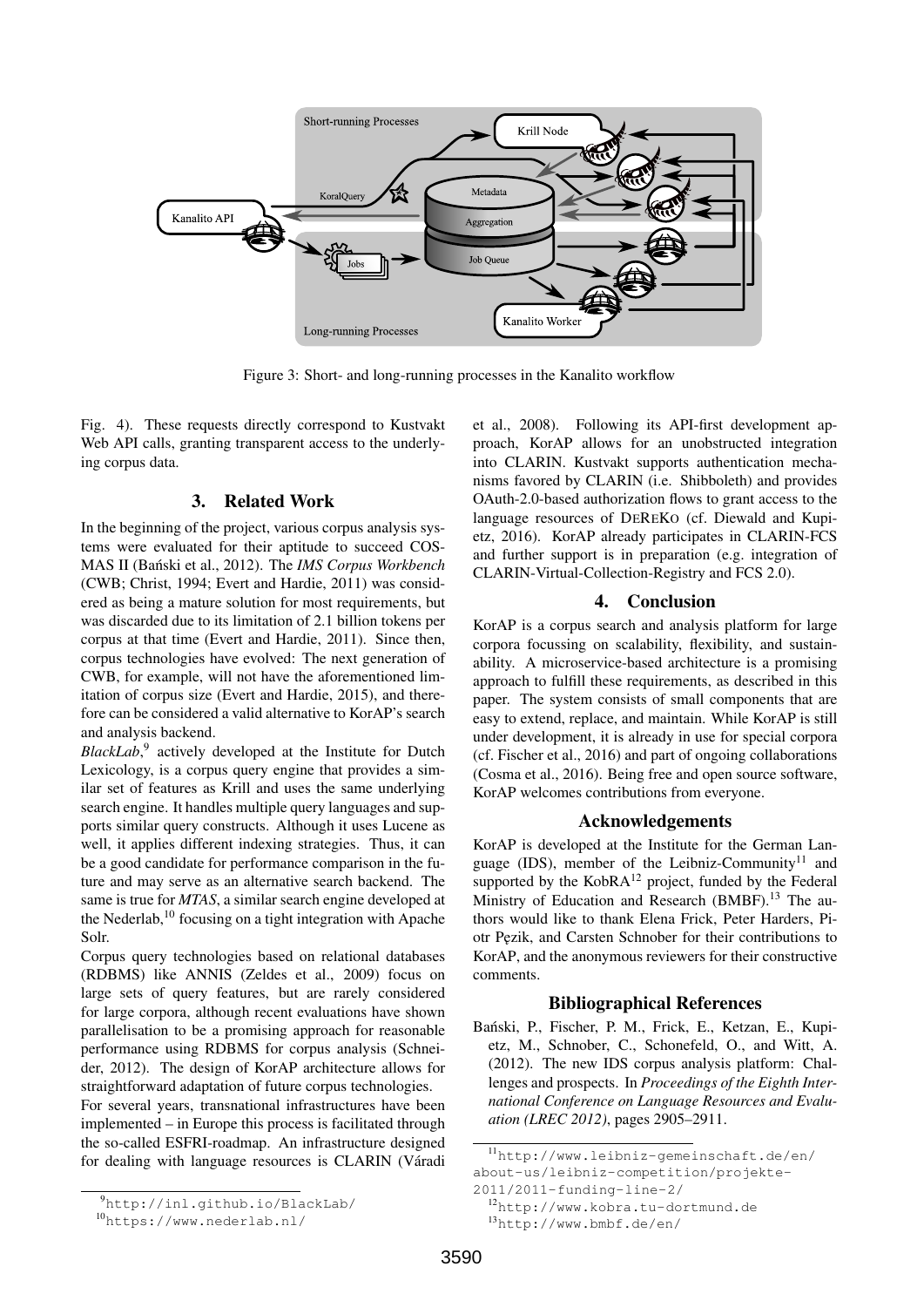

Figure 3: Short- and long-running processes in the Kanalito workflow

Fig. 4). These requests directly correspond to Kustvakt Web API calls, granting transparent access to the underlying corpus data.

## 3. Related Work

In the beginning of the project, various corpus analysis systems were evaluated for their aptitude to succeed COS-MAS II (Bański et al., 2012). The *IMS Corpus Workbench* (CWB; Christ, 1994; Evert and Hardie, 2011) was considered as being a mature solution for most requirements, but was discarded due to its limitation of 2.1 billion tokens per corpus at that time (Evert and Hardie, 2011). Since then, corpus technologies have evolved: The next generation of CWB, for example, will not have the aforementioned limitation of corpus size (Evert and Hardie, 2015), and therefore can be considered a valid alternative to KorAP's search and analysis backend.

BlackLab,<sup>9</sup> actively developed at the Institute for Dutch Lexicology, is a corpus query engine that provides a similar set of features as Krill and uses the same underlying search engine. It handles multiple query languages and supports similar query constructs. Although it uses Lucene as well, it applies different indexing strategies. Thus, it can be a good candidate for performance comparison in the future and may serve as an alternative search backend. The same is true for *MTAS*, a similar search engine developed at the Nederlab,<sup>10</sup> focusing on a tight integration with Apache Solr.

Corpus query technologies based on relational databases (RDBMS) like ANNIS (Zeldes et al., 2009) focus on large sets of query features, but are rarely considered for large corpora, although recent evaluations have shown parallelisation to be a promising approach for reasonable performance using RDBMS for corpus analysis (Schneider, 2012). The design of KorAP architecture allows for straightforward adaptation of future corpus technologies.

For several years, transnational infrastructures have been implemented – in Europe this process is facilitated through the so-called ESFRI-roadmap. An infrastructure designed for dealing with language resources is CLARIN (Váradi

et al., 2008). Following its API-first development approach, KorAP allows for an unobstructed integration into CLARIN. Kustvakt supports authentication mechanisms favored by CLARIN (i.e. Shibboleth) and provides OAuth-2.0-based authorization flows to grant access to the language resources of DEREKO (cf. Diewald and Kupietz, 2016). KorAP already participates in CLARIN-FCS and further support is in preparation (e.g. integration of CLARIN-Virtual-Collection-Registry and FCS 2.0).

# 4. Conclusion

KorAP is a corpus search and analysis platform for large corpora focussing on scalability, flexibility, and sustainability. A microservice-based architecture is a promising approach to fulfill these requirements, as described in this paper. The system consists of small components that are easy to extend, replace, and maintain. While KorAP is still under development, it is already in use for special corpora (cf. Fischer et al., 2016) and part of ongoing collaborations (Cosma et al., 2016). Being free and open source software, KorAP welcomes contributions from everyone.

#### Acknowledgements

KorAP is developed at the Institute for the German Language (IDS), member of the Leibniz-Community<sup>11</sup> and supported by the  $KobRA^{12}$  project, funded by the Federal Ministry of Education and Research (BMBF).<sup>13</sup> The authors would like to thank Elena Frick, Peter Harders, Piotr Pezik, and Carsten Schnober for their contributions to KorAP, and the anonymous reviewers for their constructive comments.

#### Bibliographical References

Banski, P., Fischer, P. M., Frick, E., Ketzan, E., Kupi- ´ etz, M., Schnober, C., Schonefeld, O., and Witt, A. (2012). The new IDS corpus analysis platform: Challenges and prospects. In *Proceedings of the Eighth International Conference on Language Resources and Evaluation (LREC 2012)*, pages 2905–2911.

<sup>9</sup>http://inl.github.io/BlackLab/

<sup>10</sup>https://www.nederlab.nl/

<sup>11</sup>http://www.leibniz-gemeinschaft.de/en/ about-us/leibniz-competition/projekte-

<sup>2011/2011-</sup>funding-line-2/

<sup>12</sup>http://www.kobra.tu-dortmund.de

<sup>13</sup>http://www.bmbf.de/en/